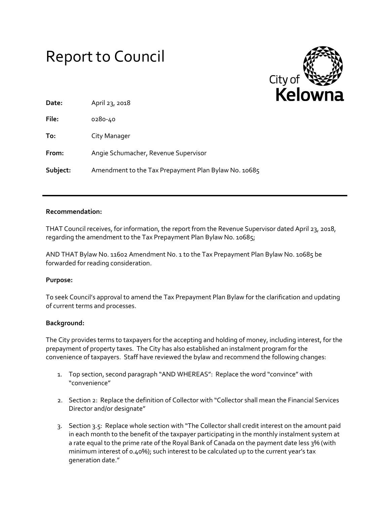# Report to Council



| Date:    | April 23, 2018                                       |
|----------|------------------------------------------------------|
| File:    | 0280-40                                              |
| To:      | City Manager                                         |
| From:    | Angie Schumacher, Revenue Supervisor                 |
| Subject: | Amendment to the Tax Prepayment Plan Bylaw No. 10685 |

## **Recommendation:**

THAT Council receives, for information, the report from the Revenue Supervisor dated April 23, 2018, regarding the amendment to the Tax Prepayment Plan Bylaw No. 10685;

AND THAT Bylaw No. 11602 Amendment No. 1 to the Tax Prepayment Plan Bylaw No. 10685 be forwarded for reading consideration.

## **Purpose:**

To seek Council's approval to amend the Tax Prepayment Plan Bylaw for the clarification and updating of current terms and processes.

## **Background:**

The City provides terms to taxpayers for the accepting and holding of money, including interest, for the prepayment of property taxes. The City has also established an instalment program for the convenience of taxpayers. Staff have reviewed the bylaw and recommend the following changes:

- 1. Top section, second paragraph "AND WHEREAS": Replace the word "convince" with "convenience"
- 2. Section 2: Replace the definition of Collector with "Collector shall mean the Financial Services Director and/or designate"
- 3. Section 3.5: Replace whole section with "The Collector shall credit interest on the amount paid in each month to the benefit of the taxpayer participating in the monthly instalment system at a rate equal to the prime rate of the Royal Bank of Canada on the payment date less 3% (with minimum interest of 0.40%); such interest to be calculated up to the current year's tax generation date."